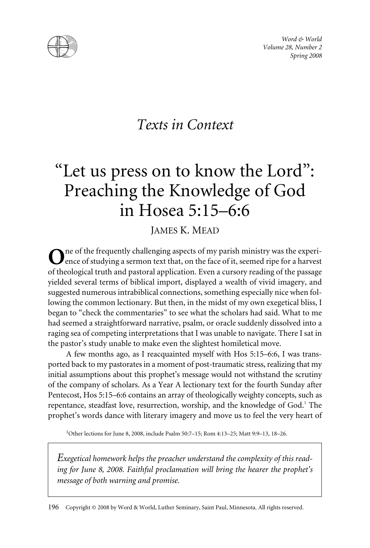

*Word & World Volume 28, Number 2 Spring 2008*

## *Texts in Context*

# "Let us press on to know the Lord": Preaching the Knowledge of God in Hosea 5:15–6:6

JAMES K. MEAD

ne of the frequently challenging aspects of my parish ministry was the experience of studying a sermon text that, on the face of it, seemed ripe for a harvest of theological truth and pastoral application. Even a cursory reading of the passage yielded several terms of biblical import, displayed a wealth of vivid imagery, and suggested numerous intrabiblical connections, something especially nice when following the common lectionary. But then, in the midst of my own exegetical bliss, I began to "check the commentaries" to see what the scholars had said. What to me had seemed a straightforward narrative, psalm, or oracle suddenly dissolved into a raging sea of competing interpretations that I was unable to navigate. There I sat in the pastor's study unable to make even the slightest homiletical move.

A few months ago, as I reacquainted myself with Hos 5:15–6:6, I was transported back to my pastorates in a moment of post-traumatic stress, realizing that my initial assumptions about this prophet's message would not withstand the scrutiny of the company of scholars. As a Year A lectionary text for the fourth Sunday after Pentecost, Hos 5:15–6:6 contains an array of theologically weighty concepts, such as repentance, steadfast love, resurrection, worship, and the knowledge of God.<sup>1</sup> The prophet's words dance with literary imagery and move us to feel the very heart of

1 Other lections for June 8, 2008, include Psalm 50:7–15; Rom 4:13–25; Matt 9:9–13, 18–26.

*Exegetical homework helps the preacher understand the complexity of this reading for June 8, 2008. Faithful proclamation will bring the hearer the prophet's message of both warning and promise.*

196 Copyright © 2008 by Word & World, Luther Seminary, Saint Paul, Minnesota. All rights reserved.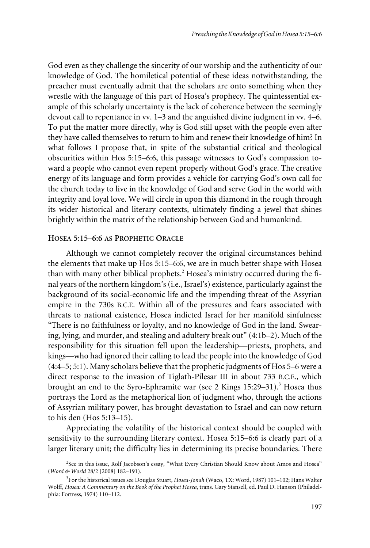God even as they challenge the sincerity of our worship and the authenticity of our knowledge of God. The homiletical potential of these ideas notwithstanding, the preacher must eventually admit that the scholars are onto something when they wrestle with the language of this part of Hosea's prophecy. The quintessential example of this scholarly uncertainty is the lack of coherence between the seemingly devout call to repentance in vv. 1–3 and the anguished divine judgment in vv. 4–6. To put the matter more directly, why is God still upset with the people even after they have called themselves to return to him and renew their knowledge of him? In what follows I propose that, in spite of the substantial critical and theological obscurities within Hos 5:15–6:6, this passage witnesses to God's compassion toward a people who cannot even repent properly without God's grace. The creative energy of its language and form provides a vehicle for carrying God's own call for the church today to live in the knowledge of God and serve God in the world with integrity and loyal love. We will circle in upon this diamond in the rough through its wider historical and literary contexts, ultimately finding a jewel that shines brightly within the matrix of the relationship between God and humankind.

#### **HOSEA 5:15–6:6 AS PROPHETIC ORACLE**

Although we cannot completely recover the original circumstances behind the elements that make up Hos 5:15–6:6, we are in much better shape with Hosea than with many other biblical prophets.<sup>2</sup> Hosea's ministry occurred during the final years of the northern kingdom's (i.e., Israel's) existence, particularly against the background of its social-economic life and the impending threat of the Assyrian empire in the 730s B.C.E. Within all of the pressures and fears associated with threats to national existence, Hosea indicted Israel for her manifold sinfulness: "There is no faithfulness or loyalty, and no knowledge of God in the land. Swearing, lying, and murder, and stealing and adultery break out" (4:1b–2). Much of the responsibility for this situation fell upon the leadership—priests, prophets, and kings—who had ignored their calling to lead the people into the knowledge of God (4:4–5; 5:1). Many scholars believe that the prophetic judgments of Hos 5–6 were a direct response to the invasion of Tiglath-Pilesar III in about 733 B.C.E., which brought an end to the Syro-Ephramite war (see 2 Kings  $15:29-31$ ).<sup>3</sup> Hosea thus portrays the Lord as the metaphorical lion of judgment who, through the actions of Assyrian military power, has brought devastation to Israel and can now return to his den (Hos 5:13–15).

Appreciating the volatility of the historical context should be coupled with sensitivity to the surrounding literary context. Hosea 5:15–6:6 is clearly part of a larger literary unit; the difficulty lies in determining its precise boundaries. There

<sup>&</sup>lt;sup>2</sup>See in this issue, Rolf Jacobson's essay, "What Every Christian Should Know about Amos and Hosea" (*Word & World* 28/2 [2008] 182–191).

<sup>3</sup> For the historical issues see Douglas Stuart, *Hosea-Jonah* (Waco, TX: Word, 1987) 101–102; Hans Walter Wolff, *Hosea: A Commentary on the Book of the Prophet Hosea*, trans. Gary Stansell, ed. Paul D. Hanson (Philadelphia: Fortress, 1974) 110–112.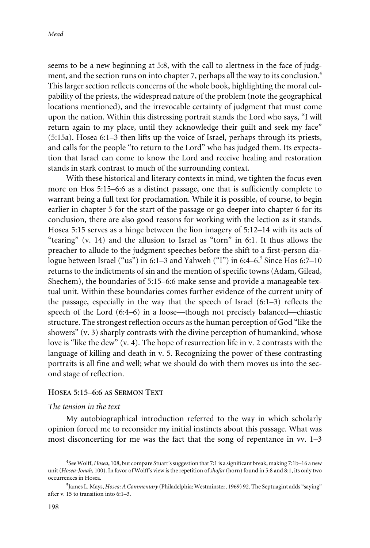seems to be a new beginning at 5:8, with the call to alertness in the face of judgment, and the section runs on into chapter 7, perhaps all the way to its conclusion.<sup>4</sup> This larger section reflects concerns of the whole book, highlighting the moral culpability of the priests, the widespread nature of the problem (note the geographical locations mentioned), and the irrevocable certainty of judgment that must come upon the nation. Within this distressing portrait stands the Lord who says, "I will return again to my place, until they acknowledge their guilt and seek my face" (5:15a). Hosea 6:1–3 then lifts up the voice of Israel, perhaps through its priests, and calls for the people "to return to the Lord" who has judged them. Its expectation that Israel can come to know the Lord and receive healing and restoration stands in stark contrast to much of the surrounding context.

With these historical and literary contexts in mind, we tighten the focus even more on Hos 5:15–6:6 as a distinct passage, one that is sufficiently complete to warrant being a full text for proclamation. While it is possible, of course, to begin earlier in chapter 5 for the start of the passage or go deeper into chapter 6 for its conclusion, there are also good reasons for working with the lection as it stands. Hosea 5:15 serves as a hinge between the lion imagery of 5:12–14 with its acts of "tearing" (v. 14) and the allusion to Israel as "torn" in 6:1. It thus allows the preacher to allude to the judgment speeches before the shift to a first-person dialogue between Israel ("us") in 6:1–3 and Yahweh ("I") in 6:4–6.<sup>5</sup> Since Hos 6:7–10 returns to the indictments of sin and the mention of specific towns (Adam, Gilead, Shechem), the boundaries of 5:15–6:6 make sense and provide a manageable textual unit. Within these boundaries comes further evidence of the current unity of the passage, especially in the way that the speech of Israel  $(6:1-3)$  reflects the speech of the Lord (6:4–6) in a loose—though not precisely balanced—chiastic structure. The strongest reflection occurs as the human perception of God "like the showers" (v. 3) sharply contrasts with the divine perception of humankind, whose love is "like the dew" (v. 4). The hope of resurrection life in v. 2 contrasts with the language of killing and death in v. 5. Recognizing the power of these contrasting portraits is all fine and well; what we should do with them moves us into the second stage of reflection.

#### **HOSEA 5:15–6:6 AS SERMON TEXT**

#### *The tension in the text*

My autobiographical introduction referred to the way in which scholarly opinion forced me to reconsider my initial instincts about this passage. What was most disconcerting for me was the fact that the song of repentance in vv. 1–3

<sup>4</sup> See Wolff, *Hosea*, 108, but compare Stuart's suggestion that 7:1 is a significant break, making 7:1b–16 a new unit (*Hosea-Jonah*, 100). In favor of Wolff's view is the repetition of *shofar*(horn) found in 5:8 and 8:1, its only two occurrences in Hosea.

<sup>5</sup> James L. Mays, *Hosea: A Commentary* (Philadelphia: Westminster, 1969) 92. The Septuagint adds "saying" after v. 15 to transition into 6:1–3.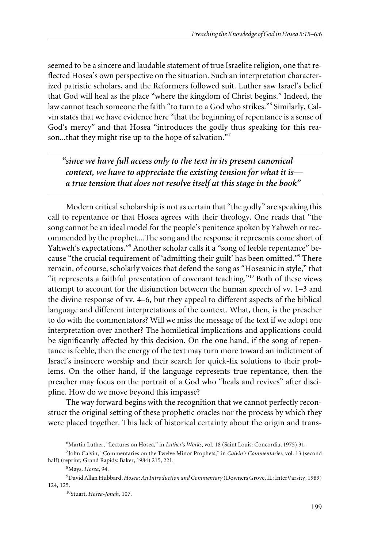seemed to be a sincere and laudable statement of true Israelite religion, one that reflected Hosea's own perspective on the situation. Such an interpretation characterized patristic scholars, and the Reformers followed suit. Luther saw Israel's belief that God will heal as the place "where the kingdom of Christ begins." Indeed, the law cannot teach someone the faith "to turn to a God who strikes."<sup>6</sup> Similarly, Calvin states that we have evidence here "that the beginning of repentance is a sense of God's mercy" and that Hosea "introduces the godly thus speaking for this reason...that they might rise up to the hope of salvation."<sup>7</sup>

*"since we have full access only to the text in its present canonical context, we have to appreciate the existing tension for what it is a true tension that does not resolve itself at this stage in the book"*

Modern critical scholarship is not as certain that "the godly" are speaking this call to repentance or that Hosea agrees with their theology. One reads that "the song cannot be an ideal model for the people's penitence spoken by Yahweh or recommended by the prophet....The song and the response it represents come short of Yahweh's expectations."<sup>8</sup> Another scholar calls it a "song of feeble repentance" because "the crucial requirement of 'admitting their guilt' has been omitted."<sup>9</sup> There remain, of course, scholarly voices that defend the song as "Hoseanic in style," that "it represents a faithful presentation of covenant teaching."<sup>10</sup> Both of these views attempt to account for the disjunction between the human speech of vv. 1–3 and the divine response of vv. 4–6, but they appeal to different aspects of the biblical language and different interpretations of the context. What, then, is the preacher to do with the commentators? Will we miss the message of the text if we adopt one interpretation over another? The homiletical implications and applications could be significantly affected by this decision. On the one hand, if the song of repentance is feeble, then the energy of the text may turn more toward an indictment of Israel's insincere worship and their search for quick-fix solutions to their problems. On the other hand, if the language represents true repentance, then the preacher may focus on the portrait of a God who "heals and revives" after discipline. How do we move beyond this impasse?

The way forward begins with the recognition that we cannot perfectly reconstruct the original setting of these prophetic oracles nor the process by which they were placed together. This lack of historical certainty about the origin and trans-

<sup>6</sup> Martin Luther, "Lectures on Hosea," in *Luther's Works*, vol. 18 (Saint Louis: Concordia, 1975) 31.

<sup>7</sup> John Calvin, "Commentaries on the Twelve Minor Prophets," in *Calvin's Commentaries*, vol. 13 (second half) (reprint; Grand Rapids: Baker, 1984) 215, 221.

<sup>8</sup> Mays, *Hosea*, 94.

<sup>9</sup> David Allan Hubbard, *Hosea: An Introduction and Commentary* (Downers Grove, IL: InterVarsity, 1989) 124, 125.

<sup>10</sup>Stuart, *Hosea-Jonah*, 107.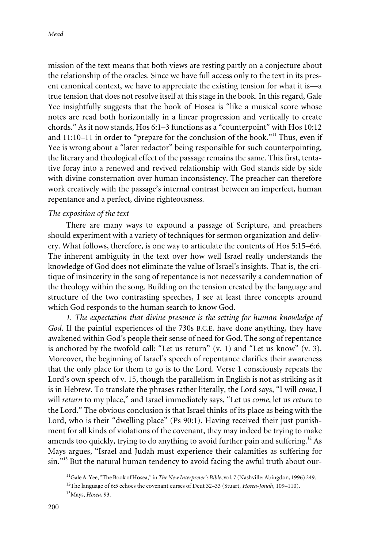mission of the text means that both views are resting partly on a conjecture about the relationship of the oracles. Since we have full access only to the text in its present canonical context, we have to appreciate the existing tension for what it is—a true tension that does not resolve itself at this stage in the book. In this regard, Gale Yee insightfully suggests that the book of Hosea is "like a musical score whose notes are read both horizontally in a linear progression and vertically to create chords." As it now stands, Hos 6:1–3 functions as a "counterpoint" with Hos 10:12 and  $11:10-11$  in order to "prepare for the conclusion of the book."<sup>11</sup> Thus, even if Yee is wrong about a "later redactor" being responsible for such counterpointing, the literary and theological effect of the passage remains the same. This first, tentative foray into a renewed and revived relationship with God stands side by side with divine consternation over human inconsistency. The preacher can therefore work creatively with the passage's internal contrast between an imperfect, human repentance and a perfect, divine righteousness.

#### *The exposition of the text*

There are many ways to expound a passage of Scripture, and preachers should experiment with a variety of techniques for sermon organization and delivery. What follows, therefore, is one way to articulate the contents of Hos 5:15–6:6. The inherent ambiguity in the text over how well Israel really understands the knowledge of God does not eliminate the value of Israel's insights. That is, the critique of insincerity in the song of repentance is not necessarily a condemnation of the theology within the song. Building on the tension created by the language and structure of the two contrasting speeches, I see at least three concepts around which God responds to the human search to know God.

*1. The expectation that divine presence is the setting for human knowledge of God*. If the painful experiences of the 730s B.C.E. have done anything, they have awakened within God's people their sense of need for God. The song of repentance is anchored by the twofold call: "Let us return" (v. 1) and "Let us know" (v. 3). Moreover, the beginning of Israel's speech of repentance clarifies their awareness that the only place for them to go is to the Lord. Verse 1 consciously repeats the Lord's own speech of v. 15, though the parallelism in English is not as striking as it is in Hebrew. To translate the phrases rather literally, the Lord says, "I will *come*, I will *return* to my place," and Israel immediately says, "Let us *come*, let us *return* to the Lord." The obvious conclusion is that Israel thinks of its place as being with the Lord, who is their "dwelling place" (Ps 90:1). Having received their just punishment for all kinds of violations of the covenant, they may indeed be trying to make amends too quickly, trying to do anything to avoid further pain and suffering.<sup>12</sup> As Mays argues, "Israel and Judah must experience their calamities as suffering for  $\sin$ ."<sup>13</sup> But the natural human tendency to avoid facing the awful truth about our-

<sup>11</sup>Gale A. Yee, "The Book of Hosea," in*The New Interpreter's Bible*, vol. 7 (Nashville: Abingdon, 1996) 249. 12The language of 6:5 echoes the covenant curses of Deut 32–33 (Stuart, *Hosea-Jonah*, 109–110). 13Mays, *Hosea*, 93.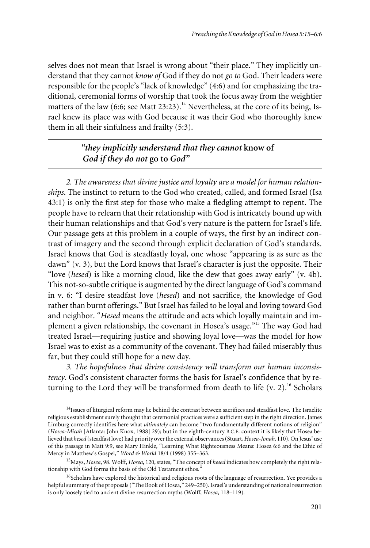selves does not mean that Israel is wrong about "their place." They implicitly understand that they cannot *know of* God if they do not *go to* God. Their leaders were responsible for the people's "lack of knowledge" (4:6) and for emphasizing the traditional, ceremonial forms of worship that took the focus away from the weightier matters of the law (6:6; see Matt 23:23).<sup>14</sup> Nevertheless, at the core of its being, Israel knew its place was with God because it was their God who thoroughly knew them in all their sinfulness and frailty (5:3).

### *"they implicitly understand that they cannot* **know of** *God if they do not* **go to** *God"*

*2. The awareness that divine justice and loyalty are a model for human relationships*. The instinct to return to the God who created, called, and formed Israel (Isa 43:1) is only the first step for those who make a fledgling attempt to repent. The people have to relearn that their relationship with God is intricately bound up with their human relationships and that God's very nature is the pattern for Israel's life. Our passage gets at this problem in a couple of ways, the first by an indirect contrast of imagery and the second through explicit declaration of God's standards. Israel knows that God is steadfastly loyal, one whose "appearing is as sure as the dawn" (v. 3), but the Lord knows that Israel's character is just the opposite. Their "love (*hesed*) is like a morning cloud, like the dew that goes away early" (v. 4b). This not-so-subtle critique is augmented by the direct language of God's command in v. 6: "I desire steadfast love (*hesed*) and not sacrifice, the knowledge of God rather than burnt offerings." But Israel has failed to be loyal and loving toward God and neighbor. "*Hesed* means the attitude and acts which loyally maintain and implement a given relationship, the covenant in Hosea's usage."<sup>15</sup> The way God had treated Israel—requiring justice and showing loyal love—was the model for how Israel was to exist as a community of the covenant. They had failed miserably thus far, but they could still hope for a new day.

*3. The hopefulness that divine consistency will transform our human inconsistency*. God's consistent character forms the basis for Israel's confidence that by returning to the Lord they will be transformed from death to life  $(v, 2)$ .<sup>16</sup> Scholars

15Mays, *Hosea*, 98. Wolff, *Hosea*, 120, states, "The concept of *hesed* indicates how completely the right relationship with God forms the basis of the Old Testament ethos."

<sup>16</sup>Scholars have explored the historical and religious roots of the language of resurrection. Yee provides a helpful summary of the proposals ("The Book of Hosea," 249–250). Israel's understanding of national resurrection is only loosely tied to ancient divine resurrection myths (Wolff, *Hosea*, 118–119).

<sup>&</sup>lt;sup>14</sup>Issues of liturgical reform may lie behind the contrast between sacrifices and steadfast love. The Israelite religious establishment surely thought that ceremonial practices were a sufficient step in the right direction. James Limburg correctly identifies here what *ultimately* can become "two fundamentally different notions of religion" (*Hosea-Micah* [Atlanta: John Knox, 1988] 29); but in the eighth-century B.C.E. context it is likely that Hosea believed that *hesed* (steadfast love) had priority over the external observances (Stuart,*Hosea-Jonah*, 110). On Jesus' use of this passage in Matt 9:9, see Mary Hinkle, "Learning What Righteousness Means: Hosea 6:6 and the Ethic of Mercy in Matthew's Gospel," *Word & World* 18/4 (1998) 355–363.